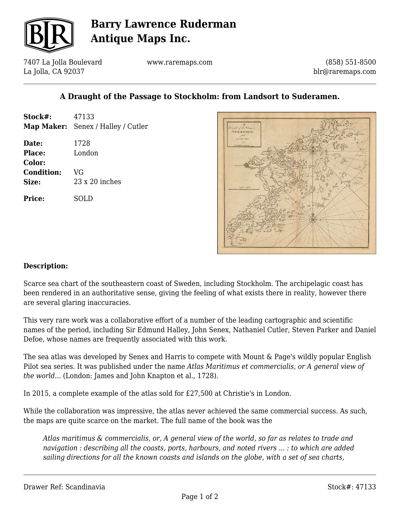

# **Barry Lawrence Ruderman Antique Maps Inc.**

7407 La Jolla Boulevard La Jolla, CA 92037

www.raremaps.com

(858) 551-8500 blr@raremaps.com

### **A Draught of the Passage to Stockholm: from Landsort to Suderamen.**

| Stock#:                              | 47133<br>Map Maker: Senex / Halley / Cutler |
|--------------------------------------|---------------------------------------------|
| Date:<br>Place:                      | 1728<br>London                              |
| Color:<br><b>Condition:</b><br>Size: | VG<br>$23 \times 20$ inches                 |
| Price:                               | SOLD                                        |



#### **Description:**

Scarce sea chart of the southeastern coast of Sweden, including Stockholm. The archipelagic coast has been rendered in an authoritative sense, giving the feeling of what exists there in reality, however there are several glaring inaccuracies.

This very rare work was a collaborative effort of a number of the leading cartographic and scientific names of the period, including Sir Edmund Halley, John Senex, Nathaniel Cutler, Steven Parker and Daniel Defoe, whose names are frequently associated with this work.

The sea atlas was developed by Senex and Harris to compete with Mount & Page's wildly popular English Pilot sea series. It was published under the name *Atlas Maritimus et commercialis, or A general view of the world...* (London: James and John Knapton et al., 1728).

In 2015, a complete example of the atlas sold for £27,500 at Christie's in London.

While the collaboration was impressive, the atlas never achieved the same commercial success. As such, the maps are quite scarce on the market. The full name of the book was the

*Atlas maritimus & commercialis, or, A general view of the world, so far as relates to trade and navigation : describing all the coasts, ports, harbours, and noted rivers ... : to which are added sailing directions for all the known coasts and islands on the globe, with a set of sea charts,*